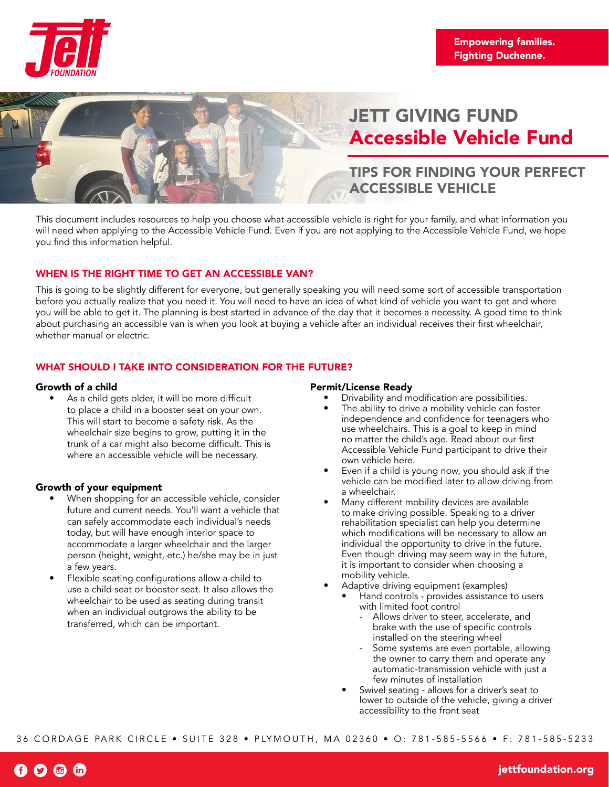



# JETT GIVING FUND Accessible Vehicle Fund

## TIPS FOR FINDING YOUR PERFECT ACCESSIBLE VEHICLE

This document includes resources to help you choose what accessible vehicle is right for your family, and what information you will need when applying to the Accessible Vehicle Fund. Even if you are not applying to the Accessible Vehicle Fund, we hope you find this information helpful.

## WHEN IS THE RIGHT TIME TO GET AN ACCESSIBLE VAN?

This is going to be slightly different for everyone, but generally speaking you will need some sort of accessible transportation before you actually realize that you need it. You will need to have an idea of what kind of vehicle you want to get and where you will be able to get it. The planning is best started in advance of the day that it becomes a necessity. A good time to think about purchasing an accessible van is when you look at buying a vehicle after an individual receives their first wheelchair, whether manual or electric.

## WHAT SHOULD I TAKE INTO CONSIDERATION FOR THE FUTURE?

## Growth of a child

• As a child gets older, it will be more difficult to place a child in a booster seat on your own. This will start to become a safety risk. As the wheelchair size begins to grow, putting it in the trunk of a car might also become difficult. This is where an accessible vehicle will be necessary.

## Growth of your equipment

- When shopping for an accessible vehicle, consider future and current needs. You'll want a vehicle that can safely accommodate each individual's needs today, but will have enough interior space to accommodate a larger wheelchair and the larger person (height, weight, etc.) he/she may be in just a few years.
- Flexible seating configurations allow a child to use a child seat or booster seat. It also allows the wheelchair to be used as seating during transit when an individual outgrows the ability to be transferred, which can be important.

## Permit/License Ready

- Drivability and modification are possibilities.
- The ability to drive a mobility vehicle can foster independence and confidence for teenagers who use wheelchairs. This is a goal to keep in mind no matter the child's age. Read about our first Accessible Vehicle Fund participant to drive their own vehicle here.
- Even if a child is young now, you should ask if the vehicle can be modified later to allow driving from a wheelchair.
- Many different mobility devices are available to make driving possible. Speaking to a driver rehabilitation specialist can help you determine which modifications will be necessary to allow an individual the opportunity to drive in the future. Even though driving may seem way in the future, it is important to consider when choosing a mobility vehicle.
- Adaptive driving equipment (examples)
	- Hand controls provides assistance to users with limited foot control
		- Allows driver to steer, accelerate, and brake with the use of specific controls installed on the steering wheel
		- Some systems are even portable, allowing the owner to carry them and operate any automatic-transmission vehicle with just a few minutes of installation
	- Swivel seating allows for a driver's seat to lower to outside of the vehicle, giving a driver accessibility to the front seat

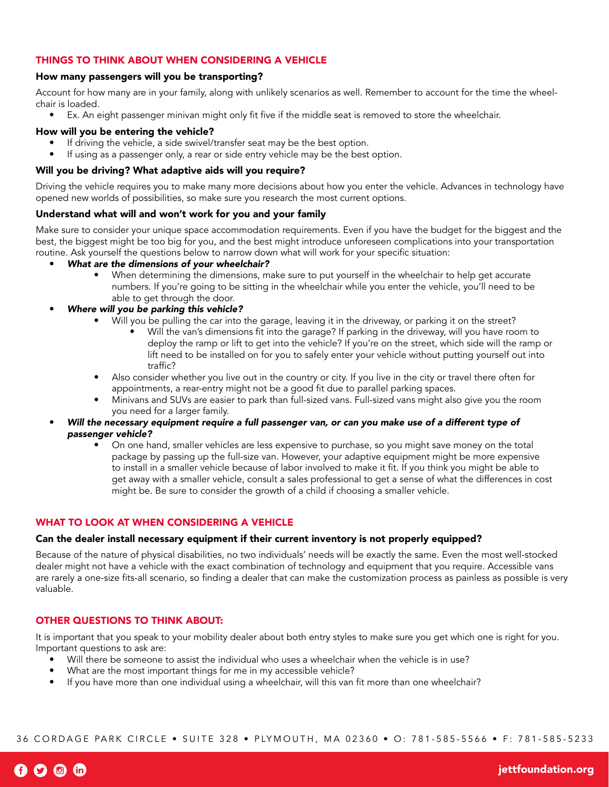## THINGS TO THINK ABOUT WHEN CONSIDERING A VEHICLE

## How many passengers will you be transporting?

Account for how many are in your family, along with unlikely scenarios as well. Remember to account for the time the wheelchair is loaded.

• Ex. An eight passenger minivan might only fit five if the middle seat is removed to store the wheelchair.

## How will you be entering the vehicle?

- If driving the vehicle, a side swivel/transfer seat may be the best option.
- If using as a passenger only, a rear or side entry vehicle may be the best option.

## Will you be driving? What adaptive aids will you require?

Driving the vehicle requires you to make many more decisions about how you enter the vehicle. Advances in technology have opened new worlds of possibilities, so make sure you research the most current options.

## Understand what will and won't work for you and your family

Make sure to consider your unique space accommodation requirements. Even if you have the budget for the biggest and the best, the biggest might be too big for you, and the best might introduce unforeseen complications into your transportation routine. Ask yourself the questions below to narrow down what will work for your specific situation:

- *What are the dimensions of your wheelchair?*
	- When determining the dimensions, make sure to put yourself in the wheelchair to help get accurate numbers. If you're going to be sitting in the wheelchair while you enter the vehicle, you'll need to be able to get through the door.
- *Where will you be parking this vehicle?*
	- Will you be pulling the car into the garage, leaving it in the driveway, or parking it on the street?
		- Will the van's dimensions fit into the garage? If parking in the driveway, will you have room to deploy the ramp or lift to get into the vehicle? If you're on the street, which side will the ramp or lift need to be installed on for you to safely enter your vehicle without putting yourself out into traffic?
	- Also consider whether you live out in the country or city. If you live in the city or travel there often for appointments, a rear-entry might not be a good fit due to parallel parking spaces.
	- Minivans and SUVs are easier to park than full-sized vans. Full-sized vans might also give you the room you need for a larger family.
	- *Will the necessary equipment require a full passenger van, or can you make use of a different type of passenger vehicle?*
		- On one hand, smaller vehicles are less expensive to purchase, so you might save money on the total package by passing up the full-size van. However, your adaptive equipment might be more expensive to install in a smaller vehicle because of labor involved to make it fit. If you think you might be able to get away with a smaller vehicle, consult a sales professional to get a sense of what the differences in cost might be. Be sure to consider the growth of a child if choosing a smaller vehicle.

## WHAT TO LOOK AT WHEN CONSIDERING A VEHICLE

#### Can the dealer install necessary equipment if their current inventory is not properly equipped?

Because of the nature of physical disabilities, no two individuals' needs will be exactly the same. Even the most well-stocked dealer might not have a vehicle with the exact combination of technology and equipment that you require. Accessible vans are rarely a one-size fits-all scenario, so finding a dealer that can make the customization process as painless as possible is very valuable.

## OTHER QUESTIONS TO THINK ABOUT:

It is important that you speak to your mobility dealer about both entry styles to make sure you get which one is right for you. Important questions to ask are:

- Will there be someone to assist the individual who uses a wheelchair when the vehicle is in use?
- What are the most important things for me in my accessible vehicle?
- If you have more than one individual using a wheelchair, will this van fit more than one wheelchair?

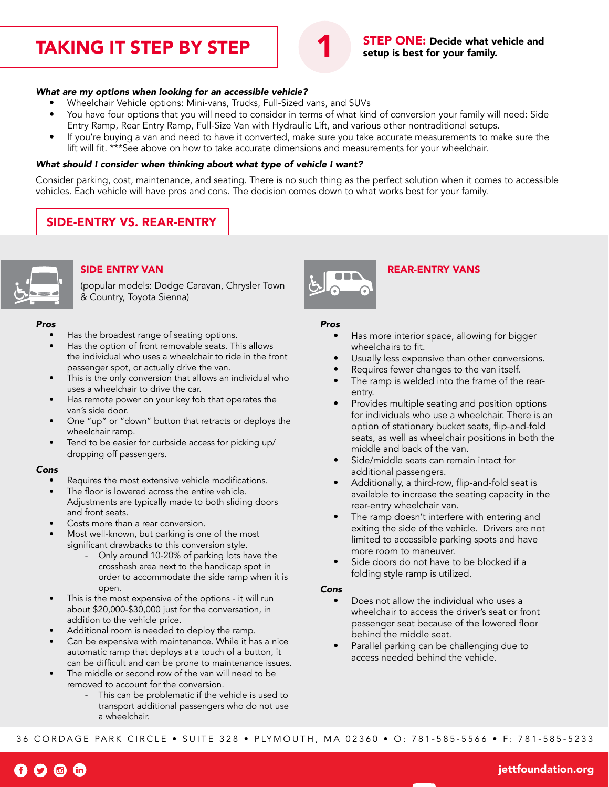## TAKING IT STEP BY STEP



STEP ONE: Decide what vehicle and setup is best for your family.

#### *What are my options when looking for an accessible vehicle?*

- Wheelchair Vehicle options: Mini-vans, Trucks, Full-Sized vans, and SUVs
- You have four options that you will need to consider in terms of what kind of conversion your family will need: Side Entry Ramp, Rear Entry Ramp, Full-Size Van with Hydraulic Lift, and various other nontraditional setups.
- If you're buying a van and need to have it converted, make sure you take accurate measurements to make sure the lift will fit. \*\*\*See above on how to take accurate dimensions and measurements for your wheelchair.

#### *What should I consider when thinking about what type of vehicle I want?*

Consider parking, cost, maintenance, and seating. There is no such thing as the perfect solution when it comes to accessible vehicles. Each vehicle will have pros and cons. The decision comes down to what works best for your family.

## SIDE-ENTRY VS. REAR-ENTRY



## SIDE ENTRY VAN

(popular models: Dodge Caravan, Chrysler Town & Country, Toyota Sienna)

#### *Pros*

- Has the broadest range of seating options.
- Has the option of front removable seats. This allows the individual who uses a wheelchair to ride in the front passenger spot, or actually drive the van.
- This is the only conversion that allows an individual who uses a wheelchair to drive the car.
- Has remote power on your key fob that operates the van's side door.
- One "up" or "down" button that retracts or deploys the wheelchair ramp.
- Tend to be easier for curbside access for picking up/ dropping off passengers.

#### *Cons*

- Requires the most extensive vehicle modifications.
- The floor is lowered across the entire vehicle. Adjustments are typically made to both sliding doors and front seats.
- Costs more than a rear conversion.
- Most well-known, but parking is one of the most significant drawbacks to this conversion style.
	- Only around 10-20% of parking lots have the crosshash area next to the handicap spot in order to accommodate the side ramp when it is open.
- This is the most expensive of the options it will run about \$20,000-\$30,000 just for the conversation, in addition to the vehicle price.
- Additional room is needed to deploy the ramp.
- Can be expensive with maintenance. While it has a nice automatic ramp that deploys at a touch of a button, it can be difficult and can be prone to maintenance issues.
- The middle or second row of the van will need to be removed to account for the conversion.
	- This can be problematic if the vehicle is used to transport additional passengers who do not use a wheelchair.



## REAR-ENTRY VANS

#### *Pros*

- Has more interior space, allowing for bigger wheelchairs to fit.
- Usually less expensive than other conversions.
- Requires fewer changes to the van itself.
- The ramp is welded into the frame of the rearentry.
- Provides multiple seating and position options for individuals who use a wheelchair. There is an option of stationary bucket seats, flip-and-fold seats, as well as wheelchair positions in both the middle and back of the van.
- Side/middle seats can remain intact for additional passengers.
- Additionally, a third-row, flip-and-fold seat is available to increase the seating capacity in the rear-entry wheelchair van.
- The ramp doesn't interfere with entering and exiting the side of the vehicle. Drivers are not limited to accessible parking spots and have more room to maneuver.
- Side doors do not have to be blocked if a folding style ramp is utilized.

#### *Cons*

- Does not allow the individual who uses a wheelchair to access the driver's seat or front passenger seat because of the lowered floor behind the middle seat.
- Parallel parking can be challenging due to access needed behind the vehicle.

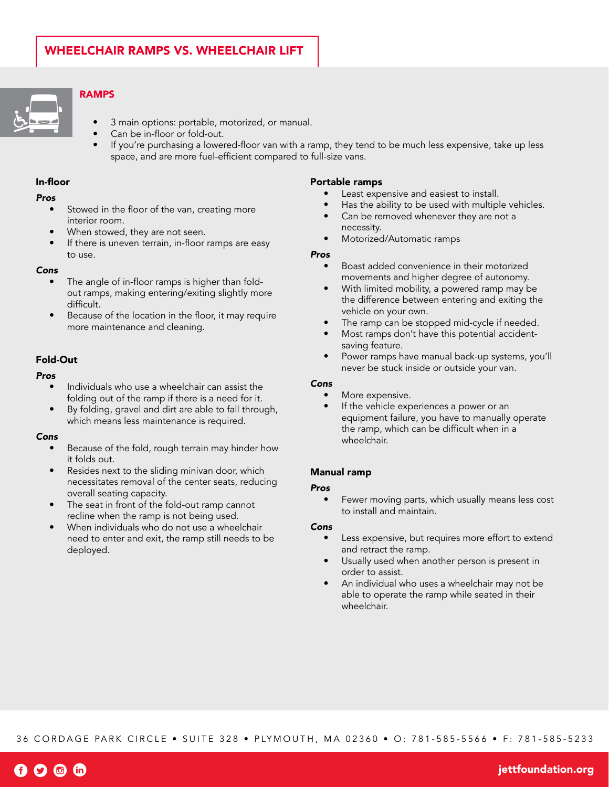

## RAMPS

- 3 main options: portable, motorized, or manual.
- Can be in-floor or fold-out.
- If you're purchasing a lowered-floor van with a ramp, they tend to be much less expensive, take up less space, and are more fuel-efficient compared to full-size vans.

## In-floor

#### *Pros*

- Stowed in the floor of the van, creating more interior room.
- When stowed, they are not seen.
- If there is uneven terrain, in-floor ramps are easy to use.

#### *Cons*

- The angle of in-floor ramps is higher than foldout ramps, making entering/exiting slightly more difficult.
- Because of the location in the floor, it may require more maintenance and cleaning.

#### Fold-Out

#### *Pros*

- Individuals who use a wheelchair can assist the folding out of the ramp if there is a need for it.
- By folding, gravel and dirt are able to fall through, which means less maintenance is required.

#### *Cons*

- Because of the fold, rough terrain may hinder how it folds out.
- Resides next to the sliding minivan door, which necessitates removal of the center seats, reducing overall seating capacity.
- The seat in front of the fold-out ramp cannot recline when the ramp is not being used.
- When individuals who do not use a wheelchair need to enter and exit, the ramp still needs to be deployed.

#### Portable ramps

- Least expensive and easiest to install.
- Has the ability to be used with multiple vehicles.
- Can be removed whenever they are not a necessity.
- Motorized/Automatic ramps

#### *Pros*

- Boast added convenience in their motorized movements and higher degree of autonomy.
- With limited mobility, a powered ramp may be the difference between entering and exiting the vehicle on your own.
- The ramp can be stopped mid-cycle if needed.
- Most ramps don't have this potential accidentsaving feature.
- Power ramps have manual back-up systems, you'll never be stuck inside or outside your van.

## *Cons*

- More expensive.
- If the vehicle experiences a power or an equipment failure, you have to manually operate the ramp, which can be difficult when in a wheelchair.

## Manual ramp

#### *Pros*

Fewer moving parts, which usually means less cost to install and maintain.

#### *Cons*

- Less expensive, but requires more effort to extend and retract the ramp.
- Usually used when another person is present in order to assist.
- An individual who uses a wheelchair may not be able to operate the ramp while seated in their wheelchair.

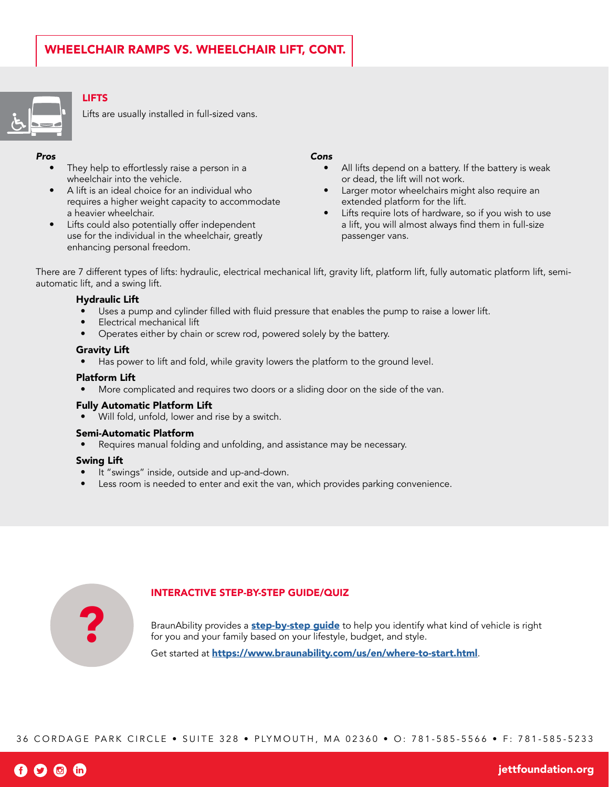

## LIFTS

Lifts are usually installed in full-sized vans.

## *Pros*

- They help to effortlessly raise a person in a wheelchair into the vehicle.
- A lift is an ideal choice for an individual who requires a higher weight capacity to accommodate a heavier wheelchair.
- Lifts could also potentially offer independent use for the individual in the wheelchair, greatly enhancing personal freedom.

#### *Cons*

- All lifts depend on a battery. If the battery is weak or dead, the lift will not work.
- Larger motor wheelchairs might also require an extended platform for the lift.
- Lifts require lots of hardware, so if you wish to use a lift, you will almost always find them in full-size passenger vans.

There are 7 different types of lifts: hydraulic, electrical mechanical lift, gravity lift, platform lift, fully automatic platform lift, semiautomatic lift, and a swing lift.

## Hydraulic Lift

- Uses a pump and cylinder filled with fluid pressure that enables the pump to raise a lower lift.
- Electrical mechanical lift
- Operates either by chain or screw rod, powered solely by the battery.

## Gravity Lift

Has power to lift and fold, while gravity lowers the platform to the ground level.

## Platform Lift

• More complicated and requires two doors or a sliding door on the side of the van.

## Fully Automatic Platform Lift

Will fold, unfold, lower and rise by a switch.

## Semi-Automatic Platform

Requires manual folding and unfolding, and assistance may be necessary.

#### Swing Lift

- It "swings" inside, outside and up-and-down.
- Less room is needed to enter and exit the van, which provides parking convenience.



## INTERACTIVE STEP-BY-STEP GUIDE/QUIZ

BraunAbility provides a **[step-by-step guide](https://www.braunability.com/us/en/where-to-start.html)** to help you identify what kind of vehicle is right for you and your family based on your lifestyle, budget, and style.

Get started at <https://www.braunability.com/us/en/where-to-start.html>.